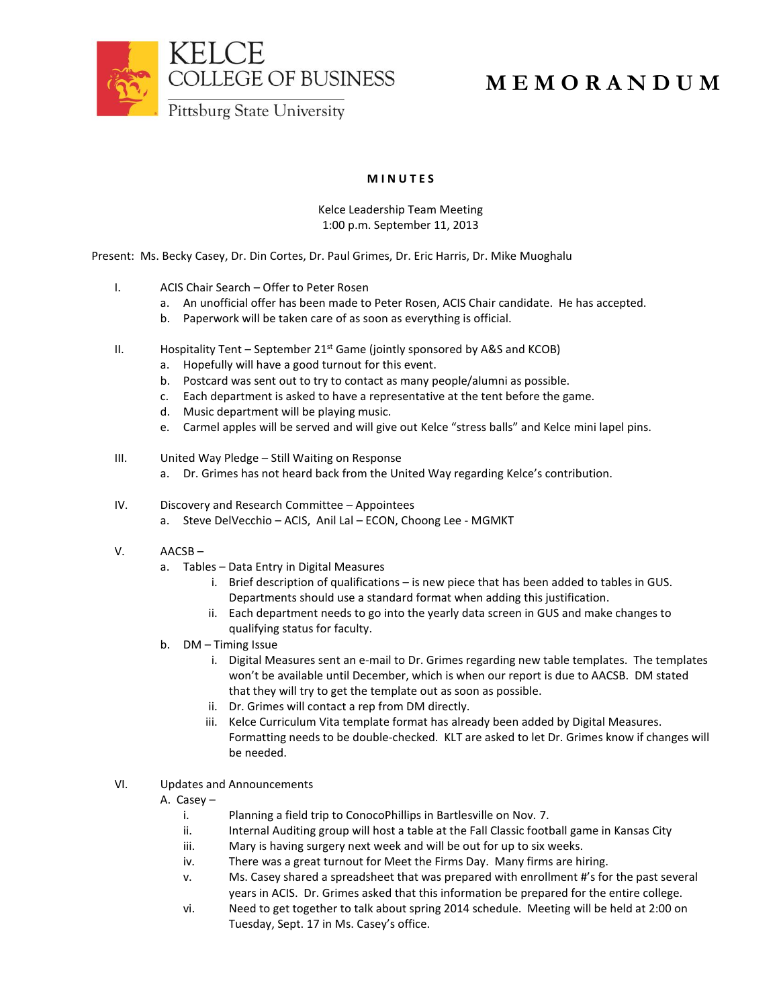

## **M E M O R A N D U M**

**M I N U T E S**

Kelce Leadership Team Meeting 1:00 p.m. September 11, 2013

Present: Ms. Becky Casey, Dr. Din Cortes, Dr. Paul Grimes, Dr. Eric Harris, Dr. Mike Muoghalu

- I. ACIS Chair Search Offer to Peter Rosen
	- a. An unofficial offer has been made to Peter Rosen, ACIS Chair candidate. He has accepted.
	- b. Paperwork will be taken care of as soon as everything is official.
- II. Hospitality Tent September  $21^{st}$  Game (jointly sponsored by A&S and KCOB)
	- a. Hopefully will have a good turnout for this event.
	- b. Postcard was sent out to try to contact as many people/alumni as possible.
	- c. Each department is asked to have a representative at the tent before the game.
	- d. Music department will be playing music.
	- e. Carmel apples will be served and will give out Kelce "stress balls" and Kelce mini lapel pins.
- III. United Way Pledge Still Waiting on Response
	- a. Dr. Grimes has not heard back from the United Way regarding Kelce's contribution.
- IV. Discovery and Research Committee Appointees a. Steve DelVecchio – ACIS, Anil Lal – ECON, Choong Lee - MGMKT
- V. AACSB
	- a. Tables Data Entry in Digital Measures
		- i. Brief description of qualifications is new piece that has been added to tables in GUS. Departments should use a standard format when adding this justification.
		- ii. Each department needs to go into the yearly data screen in GUS and make changes to qualifying status for faculty.
	- b. DM Timing Issue
		- i. Digital Measures sent an e-mail to Dr. Grimes regarding new table templates. The templates won't be available until December, which is when our report is due to AACSB. DM stated that they will try to get the template out as soon as possible.
		- ii. Dr. Grimes will contact a rep from DM directly.
		- iii. Kelce Curriculum Vita template format has already been added by Digital Measures. Formatting needs to be double-checked. KLT are asked to let Dr. Grimes know if changes will be needed.
- VI. Updates and Announcements
	- A. Casey
		- i. Planning a field trip to ConocoPhillips in Bartlesville on Nov. 7.
		- ii. Internal Auditing group will host a table at the Fall Classic football game in Kansas City
		- iii. Mary is having surgery next week and will be out for up to six weeks.
		- iv. There was a great turnout for Meet the Firms Day. Many firms are hiring.
		- v. Ms. Casey shared a spreadsheet that was prepared with enrollment #'s for the past several years in ACIS. Dr. Grimes asked that this information be prepared for the entire college.
		- vi. Need to get together to talk about spring 2014 schedule. Meeting will be held at 2:00 on Tuesday, Sept. 17 in Ms. Casey's office.